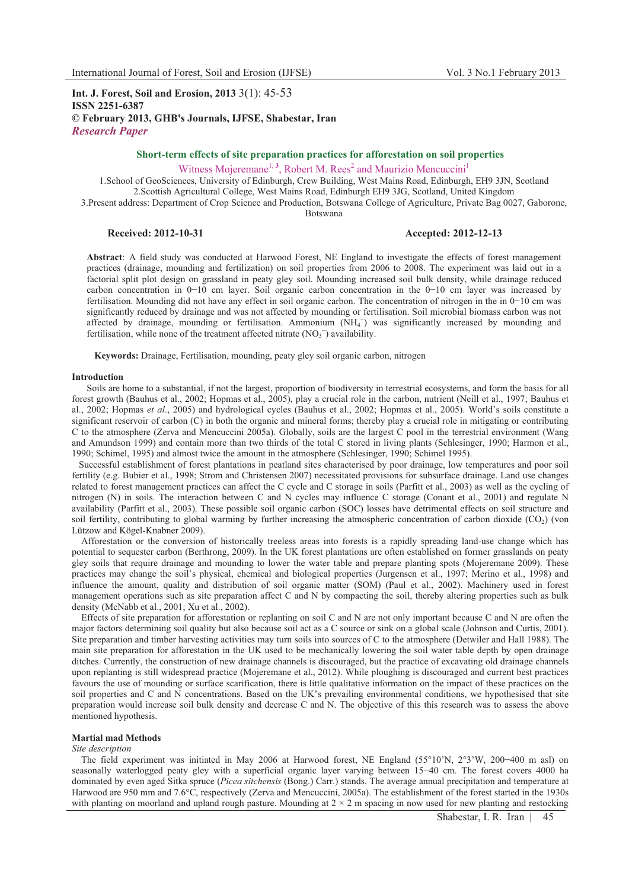# **Int. J. Forest, Soil and Erosion, 2013** 3(1): 45-53 **ISSN 2251-6387 © February 2013, GHB's Journals, IJFSE, Shabestar, Iran** *Research Paper*

# **Short-term effects of site preparation practices for afforestation on soil properties** Witness Mojeremane<sup>1, 3</sup>, Robert M. Rees<sup>2</sup> and Maurizio Mencuccini<sup>1</sup>

1.School of GeoSciences, University of Edinburgh, Crew Building, West Mains Road, Edinburgh, EH9 3JN, Scotland 2.Scottish Agricultural College, West Mains Road, Edinburgh EH9 3JG, Scotland, United Kingdom 3.Present address: Department of Crop Science and Production, Botswana College of Agriculture, Private Bag 0027, Gaborone,

Botswana

## **Received: 2012-10-31 Accepted: 2012-12-13**

**Abstract**: A field study was conducted at Harwood Forest, NE England to investigate the effects of forest management practices (drainage, mounding and fertilization) on soil properties from 2006 to 2008. The experiment was laid out in a factorial split plot design on grassland in peaty gley soil. Mounding increased soil bulk density, while drainage reduced carbon concentration in 0-10 cm layer. Soil organic carbon concentration in the 0-10 cm layer was increased by fertilisation. Mounding did not have any effect in soil organic carbon. The concentration of nitrogen in the in 0-10 cm was significantly reduced by drainage and was not affected by mounding or fertilisation. Soil microbial biomass carbon was not affected by drainage, mounding or fertilisation. Ammonium (NH<sub>4</sub><sup>+</sup>) was significantly increased by mounding and fertilisation, while none of the treatment affected nitrate  $(NO<sub>3</sub>^-)$  availability.

**Keywords:** Drainage, Fertilisation, mounding, peaty gley soil organic carbon, nitrogen

## **Introduction**

Soils are home to a substantial, if not the largest, proportion of biodiversity in terrestrial ecosystems, and form the basis for all forest growth (Bauhus et al., 2002; Hopmas et al., 2005), play a crucial role in the carbon, nutrient (Neill et al., 1997; Bauhus et al., 2002; Hopmas *et al*., 2005) and hydrological cycles (Bauhus et al., 2002; Hopmas et al., 2005). World's soils constitute a significant reservoir of carbon (C) in both the organic and mineral forms; thereby play a crucial role in mitigating or contributing C to the atmosphere (Zerva and Mencuccini 2005a). Globally, soils are the largest C pool in the terrestrial environment (Wang and Amundson 1999) and contain more than two thirds of the total C stored in living plants (Schlesinger, 1990; Harmon et al., 1990; Schimel, 1995) and almost twice the amount in the atmosphere (Schlesinger, 1990; Schimel 1995).

 Successful establishment of forest plantations in peatland sites characterised by poor drainage, low temperatures and poor soil fertility (e.g. Bubier et al., 1998; Strom and Christensen 2007) necessitated provisions for subsurface drainage. Land use changes related to forest management practices can affect the C cycle and C storage in soils (Parfitt et al., 2003) as well as the cycling of nitrogen (N) in soils. The interaction between C and N cycles may influence C storage (Conant et al., 2001) and regulate N availability (Parfitt et al., 2003). These possible soil organic carbon (SOC) losses have detrimental effects on soil structure and soil fertility, contributing to global warming by further increasing the atmospheric concentration of carbon dioxide  $(CO<sub>2</sub>)$  (von Lützow and Kögel-Knabner 2009).

 Afforestation or the conversion of historically treeless areas into forests is a rapidly spreading land-use change which has potential to sequester carbon (Berthrong, 2009). In the UK forest plantations are often established on former grasslands on peaty gley soils that require drainage and mounding to lower the water table and prepare planting spots (Mojeremane 2009). These practices may change the soil's physical, chemical and biological properties (Jurgensen et al., 1997; Merino et al., 1998) and influence the amount, quality and distribution of soil organic matter (SOM) (Paul et al., 2002). Machinery used in forest management operations such as site preparation affect C and N by compacting the soil, thereby altering properties such as bulk density (McNabb et al., 2001; Xu et al., 2002).

 Effects of site preparation for afforestation or replanting on soil C and N are not only important because C and N are often the major factors determining soil quality but also because soil act as a C source or sink on a global scale (Johnson and Curtis, 2001). Site preparation and timber harvesting activities may turn soils into sources of C to the atmosphere (Detwiler and Hall 1988). The main site preparation for afforestation in the UK used to be mechanically lowering the soil water table depth by open drainage ditches. Currently, the construction of new drainage channels is discouraged, but the practice of excavating old drainage channels upon replanting is still widespread practice (Mojeremane et al., 2012). While ploughing is discouraged and current best practices favours the use of mounding or surface scarification, there is little qualitative information on the impact of these practices on the soil properties and C and N concentrations. Based on the UK's prevailing environmental conditions, we hypothesised that site preparation would increase soil bulk density and decrease C and N. The objective of this this research was to assess the above mentioned hypothesis.

## **Martial mad Methods**

## *Site description*

 The field experiment was initiated in May 2006 at Harwood forest, NE England (55°10'N, 2°3'W, 200-400 m asl) on seasonally waterlogged peaty gley with a superficial organic layer varying between 15-40 cm. The forest covers 4000 ha dominated by even aged Sitka spruce (*Picea sitchensis* (Bong.) Carr.) stands. The average annual precipitation and temperature at Harwood are 950 mm and 7.6°C, respectively (Zerva and Mencuccini, 2005a). The establishment of the forest started in the 1930s with planting on moorland and upland rough pasture. Mounding at  $2 \times 2$  m spacing in now used for new planting and restocking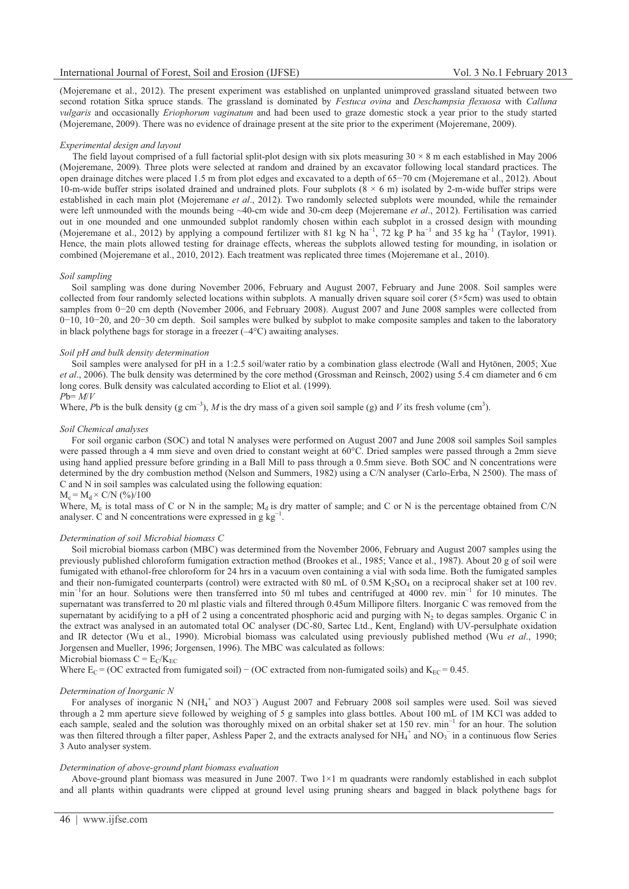(Mojeremane et al., 2012). The present experiment was established on unplanted unimproved grassland situated between two second rotation Sitka spruce stands. The grassland is dominated by *Festuca ovina* and *Deschampsia flexuosa* with *Calluna vulgaris* and occasionally *Eriophorum vaginatum* and had been used to graze domestic stock a year prior to the study started (Mojeremane, 2009). There was no evidence of drainage present at the site prior to the experiment (Mojeremane, 2009).

#### *Experimental design and layout*

The field layout comprised of a full factorial split-plot design with six plots measuring  $30 \times 8$  m each established in May 2006 (Mojeremane, 2009). Three plots were selected at random and drained by an excavator following local standard practices. The open drainage ditches were placed 1.5 m from plot edges and excavated to a depth of 65-70 cm (Mojeremane et al., 2012). About 10-m-wide buffer strips isolated drained and undrained plots. Four subplots  $(8 \times 6 \text{ m})$  isolated by 2-m-wide buffer strips were established in each main plot (Mojeremane *et al*., 2012). Two randomly selected subplots were mounded, while the remainder were left unmounded with the mounds being ~40-cm wide and 30-cm deep (Mojeremane *et al*., 2012). Fertilisation was carried out in one mounded and one unmounded subplot randomly chosen within each subplot in a crossed design with mounding (Mojeremane et al., 2012) by applying a compound fertilizer with 81 kg N ha<sup>-1</sup>, 72 kg P ha<sup>-1</sup> and 35 kg ha<sup>-1</sup> (Taylor, 1991). Hence, the main plots allowed testing for drainage effects, whereas the subplots allowed testing for mounding, in isolation or combined (Mojeremane et al., 2010, 2012). Each treatment was replicated three times (Mojeremane et al., 2010).

## *Soil sampling*

 Soil sampling was done during November 2006, February and August 2007, February and June 2008. Soil samples were collected from four randomly selected locations within subplots. A manually driven square soil corer  $(5\times5cm)$  was used to obtain samples from 0-20 cm depth (November 2006, and February 2008). August 2007 and June 2008 samples were collected from 0–10, 10–20, and 20–30 cm depth. Soil samples were bulked by subplot to make composite samples and taken to the laboratory in black polythene bags for storage in a freezer  $(-4^{\circ}C)$  awaiting analyses.

## *Soil pH and bulk density determination*

 Soil samples were analysed for pH in a 1:2.5 soil/water ratio by a combination glass electrode (Wall and Hytönen, 2005; Xue *et al*., 2006). The bulk density was determined by the core method (Grossman and Reinsch, 2002) using 5.4 cm diameter and 6 cm long cores. Bulk density was calculated according to Eliot et al. (1999).

## *P*b= *M*/*V*

Where, Pb is the bulk density (g cm<sup>-3</sup>), M is the dry mass of a given soil sample (g) and V its fresh volume (cm<sup>3</sup>).

#### *Soil Chemical analyses*

 For soil organic carbon (SOC) and total N analyses were performed on August 2007 and June 2008 soil samples Soil samples were passed through a 4 mm sieve and oven dried to constant weight at 60°C. Dried samples were passed through a 2mm sieve using hand applied pressure before grinding in a Ball Mill to pass through a 0.5mm sieve. Both SOC and N concentrations were determined by the dry combustion method (Nelson and Summers, 1982) using a C/N analyser (Carlo-Erba, N 2500). The mass of C and N in soil samples was calculated using the following equation:

#### $M_c = M_d \times C/N$  (%)/100

Where,  $M_c$  is total mass of C or N in the sample;  $M_d$  is dry matter of sample; and C or N is the percentage obtained from C/N analyser. C and N concentrations were expressed in g  $kg^{-1}$ .

## *Determination of soil Microbial biomass C*

 Soil microbial biomass carbon (MBC) was determined from the November 2006, February and August 2007 samples using the previously published chloroform fumigation extraction method (Brookes et al., 1985; Vance et al., 1987). About 20 g of soil were fumigated with ethanol-free chloroform for 24 hrs in a vacuum oven containing a vial with soda lime. Both the fumigated samples and their non-fumigated counterparts (control) were extracted with 80 mL of 0.5M  $K_2SO_4$  on a reciprocal shaker set at 100 rev. min<sup>-1</sup> for an hour. Solutions were then transferred into 50 ml tubes and centrifuged at 4000 rev. min<sup>-1</sup> for 10 minutes. The supernatant was transferred to 20 ml plastic vials and filtered through 0.45um Millipore filters. Inorganic C was removed from the supernatant by acidifying to a pH of 2 using a concentrated phosphoric acid and purging with  $N_2$  to degas samples. Organic C in the extract was analysed in an automated total OC analyser (DC-80, Sartec Ltd., Kent, England) with UV-persulphate oxidation and IR detector (Wu et al., 1990). Microbial biomass was calculated using previously published method (Wu *et al*., 1990; Jorgensen and Mueller, 1996; Jorgensen, 1996). The MBC was calculated as follows:

Microbial biomass  $C = E_C/K_{EC}$ 

Where  $E_C = (OC$  extracted from fumigated soil) – (OC extracted from non-fumigated soils) and  $K_{EC} = 0.45$ .

## *Determination of Inorganic N*

For analyses of inorganic N (NH<sub>4</sub><sup>+</sup> and NO3<sup>-</sup>) August 2007 and February 2008 soil samples were used. Soil was sieved through a 2 mm aperture sieve followed by weighing of 5 g samples into glass bottles. About 100 mL of 1M KCl was added to each sample, sealed and the solution was thoroughly mixed on an orbital shaker set at 150 rev. min<sup>-1</sup> for an hour. The solution was then filtered through a filter paper, Ashless Paper 2, and the extracts analysed for  $NH_4^+$  and  $NO_3^-$  in a continuous flow Series 3 Auto analyser system.

## *Determination of above-ground plant biomass evaluation*

 Above-ground plant biomass was measured in June 2007. Two 1×1 m quadrants were randomly established in each subplot and all plants within quadrants were clipped at ground level using pruning shears and bagged in black polythene bags for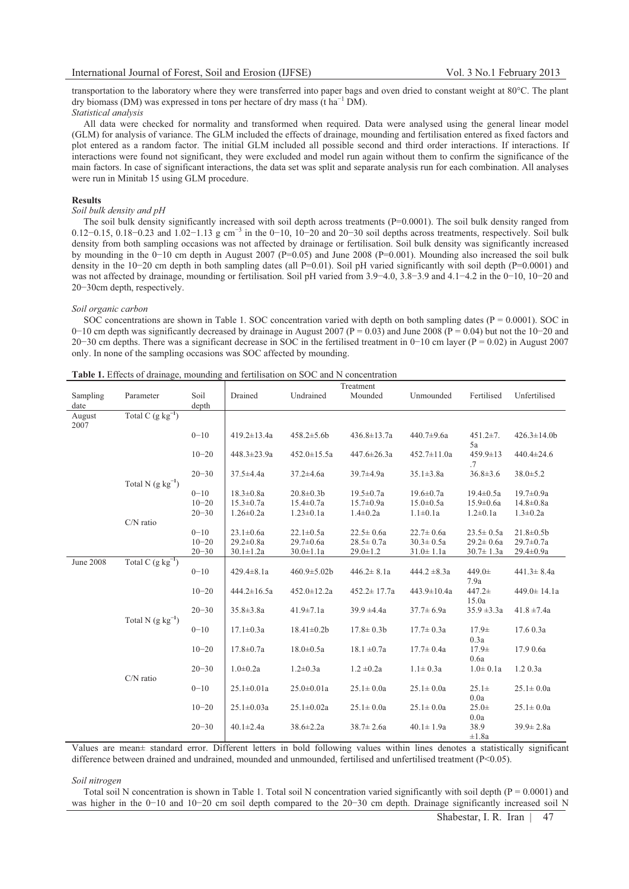transportation to the laboratory where they were transferred into paper bags and oven dried to constant weight at 80°C. The plant dry biomass (DM) was expressed in tons per hectare of dry mass ( $\text{t} \text{ ha}^{-1} \text{ DM}$ ). *Statistical analysis* 

 All data were checked for normality and transformed when required. Data were analysed using the general linear model (GLM) for analysis of variance. The GLM included the effects of drainage, mounding and fertilisation entered as fixed factors and plot entered as a random factor. The initial GLM included all possible second and third order interactions. If interactions. If interactions were found not significant, they were excluded and model run again without them to confirm the significance of the main factors. In case of significant interactions, the data set was split and separate analysis run for each combination. All analyses were run in Minitab 15 using GLM procedure.

## **Results**

## *Soil bulk density and pH*

The soil bulk density significantly increased with soil depth across treatments  $(P=0.0001)$ . The soil bulk density ranged from 0.12–0.15, 0.18–0.23 and  $1.02-1.13$  g cm<sup>-3</sup> in the 0–10, 10–20 and 20–30 soil depths across treatments, respectively. Soil bulk density from both sampling occasions was not affected by drainage or fertilisation. Soil bulk density was significantly increased by mounding in the 0-10 cm depth in August 2007 (P=0.05) and June 2008 (P=0.001). Mounding also increased the soil bulk density in the 10–20 cm depth in both sampling dates (all P=0.01). Soil pH varied significantly with soil depth (P=0.0001) and was not affected by drainage, mounding or fertilisation. Soil pH varied from 3.9–4.0, 3.8–3.9 and 4.1–4.2 in the 0–10, 10–20 and 20-30cm depth, respectively.

### *Soil organic carbon*

SOC concentrations are shown in Table 1. SOC concentration varied with depth on both sampling dates ( $P = 0.0001$ ). SOC in  $0-10$  cm depth was significantly decreased by drainage in August 2007 ( $P = 0.03$ ) and June 2008 ( $P = 0.04$ ) but not the 10-20 and  $20-30$  cm depths. There was a significant decrease in SOC in the fertilised treatment in  $0-10$  cm layer ( $P = 0.02$ ) in August 2007 only. In none of the sampling occasions was SOC affected by mounding.

|                  |                         |               |                   |                   | Treatment         |                  |                      |                   |
|------------------|-------------------------|---------------|-------------------|-------------------|-------------------|------------------|----------------------|-------------------|
| Sampling<br>date | Parameter               | Soil<br>depth | Drained           | Undrained         | Mounded           | Unmounded        | Fertilised           | Unfertilised      |
| August<br>2007   | Total C $(g \ kg^{-1})$ |               |                   |                   |                   |                  |                      |                   |
|                  |                         | $0 - 10$      | $419.2 \pm 13.4a$ | $458.2 \pm 5.6b$  | $436.8 \pm 13.7a$ | 440.7±9.6a       | $451.2 \pm 7.$<br>5a | $426.3 \pm 14.0$  |
|                  |                         | $10 - 20$     | 448.3±23.9a       | $452.0 \pm 15.5a$ | $447.6 \pm 26.3a$ | 452.7±11.0a      | $459.9 \pm 13$<br>.7 | 440.4±24.6        |
|                  | Total N $(g kg^{-1})$   | $20 - 30$     | $37.5 \pm 4.4a$   | $37.2 \pm 4.6a$   | 39.7±4.9a         | $35.1 \pm 3.8a$  | $36.8 \pm 3.6$       | $38.0 \pm 5.2$    |
|                  |                         | $0 - 10$      | $18.3 \pm 0.8a$   | $20.8 \pm 0.3 b$  | $19.5 \pm 0.7a$   | $19.6 \pm 0.7a$  | $19.4 \pm 0.5a$      | $19.7 \pm 0.9a$   |
|                  |                         | $10 - 20$     | $15.3 \pm 0.7a$   | $15.4 \pm 0.7a$   | $15.7 \pm 0.9a$   | $15.0 \pm 0.5a$  | $15.9 \pm 0.6a$      | $14.8 \pm 0.8a$   |
|                  |                         | $20 - 30$     | $1.26 \pm 0.2a$   | $1.23 \pm 0.1a$   | $1.4 \pm 0.2a$    | $1.1 \pm 0.1a$   | $1.2 \pm 0.1a$       | $1.3 \pm 0.2a$    |
|                  | C/N ratio               |               |                   |                   |                   |                  |                      |                   |
|                  |                         | $0 - 10$      | $23.1 \pm 0.6a$   | $22.1 \pm 0.5a$   | $22.5 \pm 0.6a$   | $22.7 \pm 0.6a$  | $23.5 \pm 0.5a$      | $21.8 \pm 0.5$    |
|                  |                         | $10 - 20$     | $29.2 \pm 0.8a$   | $29.7 \pm 0.6a$   | $28.5 \pm 0.7a$   | $30.3 \pm 0.5a$  | $29.2 \pm 0.6a$      | $29.7 \pm 0.7a$   |
|                  |                         | $20 - 30$     | $30.1 \pm 1.2a$   | $30.0 \pm 1.1a$   | $29.0 \pm 1.2$    | $31.0 \pm 1.1a$  | $30.7 \pm 1.3a$      | 29.4±0.9a         |
| <b>June 2008</b> | Total C $(g kg^{-1})$   |               |                   |                   |                   |                  |                      |                   |
|                  |                         | $0 - 10$      | $429.4 \pm 8.1a$  | $460.9 \pm 5.02b$ | $446.2 \pm 8.1a$  | $444.2 \pm 8.3a$ | 449.0±<br>7.9a       | $441.3 \pm 8.4a$  |
|                  |                         | $10 - 20$     | $444.2 \pm 16.5a$ | $452.0 \pm 12.2a$ | $452.2 \pm 17.7a$ | 443.9±10.4a      | 447.2±<br>15.0a      | $449.0 \pm 14.1a$ |
|                  | Total N $(g kg^{-1})$   | $20 - 30$     | $35.8 \pm 3.8a$   | $41.9 \pm 7.1a$   | $39.9 \pm 4.4a$   | $37.7 \pm 6.9a$  | $35.9 \pm 3.3a$      | $41.8 \pm 7.4a$   |
|                  |                         | $0 - 10$      | $17.1 \pm 0.3a$   | $18.41 \pm 0.2b$  | $17.8 \pm 0.3 b$  | $17.7 \pm 0.3a$  | $17.9+$<br>0.3a      | 17.60.3a          |
|                  |                         | $10 - 20$     | $17.8 \pm 0.7a$   | $18.0 \pm 0.5a$   | $18.1 \pm 0.7a$   | $17.7 \pm 0.4a$  | $17.9+$<br>0.6a      | 17.9 0.6a         |
|                  | $C/N$ ratio             | $20 - 30$     | $1.0 + 0.2a$      | $1.2 \pm 0.3a$    | $1.2 \pm 0.2a$    | $1.1 \pm 0.3a$   | $1.0 \pm 0.1a$       | 1.2 0.3a          |
|                  |                         | $0 - 10$      | $25.1 \pm 0.01a$  | $25.0 \pm 0.01a$  | $25.1 \pm 0.0a$   | $25.1 \pm 0.0a$  | $25.1\pm$<br>0.0a    | $25.1 \pm 0.0a$   |
|                  |                         | $10 - 20$     | $25.1 \pm 0.03a$  | $25.1 \pm 0.02a$  | $25.1 \pm 0.0a$   | $25.1 \pm 0.0a$  | $25.0 +$<br>0.0a     | $25.1 \pm 0.0a$   |
|                  |                         | $20 - 30$     | $40.1 \pm 2.4a$   | $38.6 \pm 2.2a$   | $38.7 \pm 2.6a$   | $40.1 \pm 1.9a$  | 38.9<br>$\pm 1.8a$   | $39.9 \pm 2.8a$   |

| Table 1. Effects of drainage, mounding and fertilisation on SOC and N concentration |
|-------------------------------------------------------------------------------------|
|-------------------------------------------------------------------------------------|

Values are mean± standard error. Different letters in bold following values within lines denotes a statistically significant difference between drained and undrained, mounded and unmounded, fertilised and unfertilised treatment (P<0.05).

*Soil nitrogen* 

Total soil N concentration is shown in Table 1. Total soil N concentration varied significantly with soil depth  $(P = 0.0001)$  and was higher in the 0–10 and 10–20 cm soil depth compared to the 20–30 cm depth. Drainage significantly increased soil N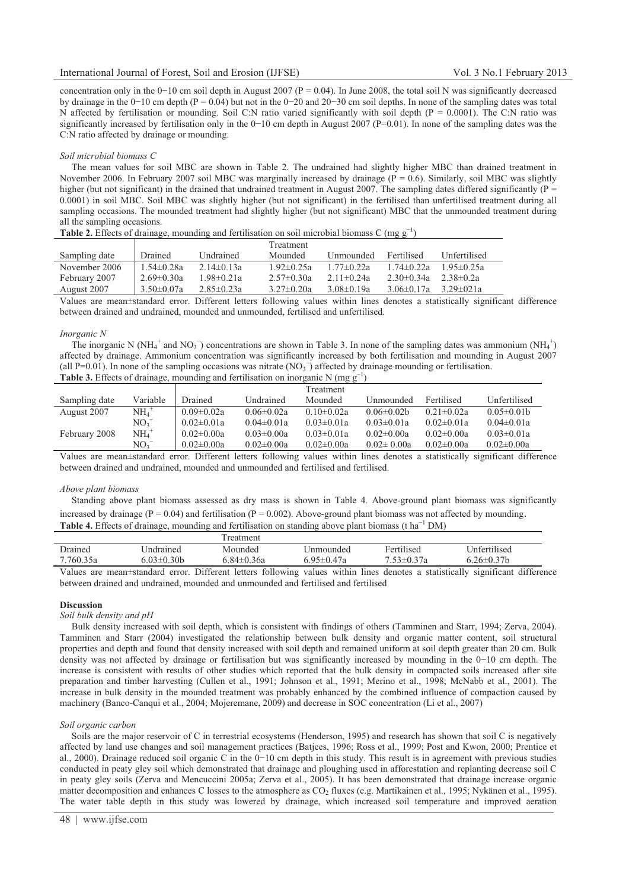concentration only in the  $0-10$  cm soil depth in August 2007 ( $P = 0.04$ ). In June 2008, the total soil N was significantly decreased by drainage in the 0-10 cm depth (P = 0.04) but not in the 0-20 and 20-30 cm soil depths. In none of the sampling dates was total N affected by fertilisation or mounding. Soil C:N ratio varied significantly with soil depth  $(P = 0.0001)$ . The C:N ratio was significantly increased by fertilisation only in the 0–10 cm depth in August 2007 (P=0.01). In none of the sampling dates was the C:N ratio affected by drainage or mounding.

## *Soil microbial biomass C*

 The mean values for soil MBC are shown in Table 2. The undrained had slightly higher MBC than drained treatment in November 2006. In February 2007 soil MBC was marginally increased by drainage ( $\overline{P} = 0.6$ ). Similarly, soil MBC was slightly higher (but not significant) in the drained that undrained treatment in August 2007. The sampling dates differed significantly ( $P =$ 0.0001) in soil MBC. Soil MBC was slightly higher (but not significant) in the fertilised than unfertilised treatment during all sampling occasions. The mounded treatment had slightly higher (but not significant) MBC that the unmounded treatment during all the sampling occasions.

| <b>Table 2.</b> Effects of drainage, mounding and fertilisation on soil microbial biomass C (mg $g^{-1}$ ) |                  |                  |                  |                  |                   |                  |
|------------------------------------------------------------------------------------------------------------|------------------|------------------|------------------|------------------|-------------------|------------------|
|                                                                                                            |                  |                  | Treatment        |                  |                   |                  |
| Sampling date                                                                                              | Drained          | Undrained        | Mounded          | Unmounded        | Fertilised        | Unfertilised     |
| November 2006                                                                                              | $1.54 \pm 0.28a$ | $2.14\pm 0.13a$  | $1.92 \pm 0.25a$ | $1.77 \pm 0.22a$ | $1.74 \pm 0.22a$  | $1.95 \pm 0.25a$ |
| February 2007                                                                                              | $2.69 \pm 0.30a$ | $1.98 \pm 0.21a$ | $2.57 \pm 0.30a$ | $2.11 \pm 0.24a$ | $2.30 \pm 0.34a$  | $2.38\pm0.2a$    |
| August 2007                                                                                                | $3.50 \pm 0.07a$ | $2.85 \pm 0.23a$ | $3.27 \pm 0.20a$ | $3.08\pm0.19a$   | $3.06 \pm 0.17$ a | $3.29 \pm 021a$  |

Values are mean±standard error. Different letters following values within lines denotes a statistically significant difference between drained and undrained, mounded and unmounded, fertilised and unfertilised.

#### *Inorganic N*

The inorganic N (NH<sub>4</sub><sup>+</sup> and NO<sub>3</sub><sup>-</sup>) concentrations are shown in Table 3. In none of the sampling dates was ammonium (NH<sub>4</sub><sup>+</sup>) affected by drainage. Ammonium concentration was significantly increased by both fertilisation and mounding in August 2007 (all P=0.01). In none of the sampling occasions was nitrate  $(NO<sub>3</sub>^-)$  affected by drainage mounding or fertilisation. **Table 3.** Effects of drainage, mounding and fertilisation on inorganic N (mg  $g^{-1}$ )

|               |                       |                  |                  | Treatment        |                  |                  |                   |
|---------------|-----------------------|------------------|------------------|------------------|------------------|------------------|-------------------|
| Sampling date | Variable              | Drained          | Undrained        | Mounded          | Unmounded        | Fertilised       | Unfertilised      |
| August 2007   | $NH_{4}$ <sup>+</sup> | $0.09 \pm 0.02a$ | $0.06 \pm 0.02a$ | $0.10 \pm 0.02a$ | $0.06 \pm 0.02$  | $0.21 \pm 0.02a$ | $0.05 \pm 0.01$ b |
|               | $NO_3$ <sup>-</sup>   | $0.02 \pm 0.01a$ | $0.04 \pm 0.01a$ | $0.03 \pm 0.01a$ | $0.03 \pm 0.01a$ | $0.02 \pm 0.01a$ | $0.04 \pm 0.01a$  |
| February 2008 | $NH4$ <sup>+</sup>    | $0.02 \pm 0.00a$ | $0.03 \pm 0.00a$ | $0.03 \pm 0.01a$ | $0.02 \pm 0.00a$ | $0.02 \pm 0.00a$ | $0.03 \pm 0.01a$  |
|               | NO <sub>3</sub>       | $0.02 \pm 0.00a$ | $0.02 \pm 0.00a$ | $0.02 \pm 0.00a$ | $0.02 \pm 0.00a$ | $0.02 \pm 0.00a$ | $0.02 \pm 0.00a$  |
| $  -$         |                       | $  -$            |                  |                  |                  |                  | . .               |

Values are mean±standard error. Different letters following values within lines denotes a statistically significant difference between drained and undrained, mounded and unmounded and fertilised and fertilised.

## *Above plant biomass*

 Standing above plant biomass assessed as dry mass is shown in Table 4. Above-ground plant biomass was significantly increased by drainage ( $P = 0.04$ ) and fertilisation ( $P = 0.002$ ). Above-ground plant biomass was not affected by mounding. Table 4. Effects of drainage, mounding and fertilisation on standing above plant biomass (t ha<sup>-1</sup> DM)

|           |                 | reatment   |           |                    |                     |
|-----------|-----------------|------------|-----------|--------------------|---------------------|
| Drained   | ∪ndrained       | Mounded    | Jnmounded | Fertilised         | <b>Infertilised</b> |
| 7.760.35a | $0.03 \pm 0.30$ | 5.84±0.36a | .95±0.47a | $7\,53 \pm 0.37$ a | $.26 \pm 0.37$ b    |

Values are mean±standard error. Different letters following values within lines denotes a statistically significant difference between drained and undrained, mounded and unmounded and fertilised and fertilised

## **Discussion**

## *Soil bulk density and pH*

 Bulk density increased with soil depth, which is consistent with findings of others (Tamminen and Starr, 1994; Zerva, 2004). Tamminen and Starr (2004) investigated the relationship between bulk density and organic matter content, soil structural properties and depth and found that density increased with soil depth and remained uniform at soil depth greater than 20 cm. Bulk density was not affected by drainage or fertilisation but was significantly increased by mounding in the 0-10 cm depth. The increase is consistent with results of other studies which reported that the bulk density in compacted soils increased after site preparation and timber harvesting (Cullen et al., 1991; Johnson et al., 1991; Merino et al., 1998; McNabb et al., 2001). The increase in bulk density in the mounded treatment was probably enhanced by the combined influence of compaction caused by machinery (Banco-Canqui et al., 2004; Mojeremane, 2009) and decrease in SOC concentration (Li et al., 2007)

#### *Soil organic carbon*

 Soils are the major reservoir of C in terrestrial ecosystems (Henderson, 1995) and research has shown that soil C is negatively affected by land use changes and soil management practices (Batjees, 1996; Ross et al., 1999; Post and Kwon, 2000; Prentice et al., 2000). Drainage reduced soil organic C in the 0–10 cm depth in this study. This result is in agreement with previous studies conducted in peaty gley soil which demonstrated that drainage and ploughing used in afforestation and replanting decrease soil C in peaty gley soils (Zerva and Mencuccini 2005a; Zerva et al., 2005). It has been demonstrated that drainage increase organic matter decomposition and enhances C losses to the atmosphere as CO<sub>2</sub> fluxes (e.g. Martikainen et al., 1995; Nykänen et al., 1995). The water table depth in this study was lowered by drainage, which increased soil temperature and improved aeration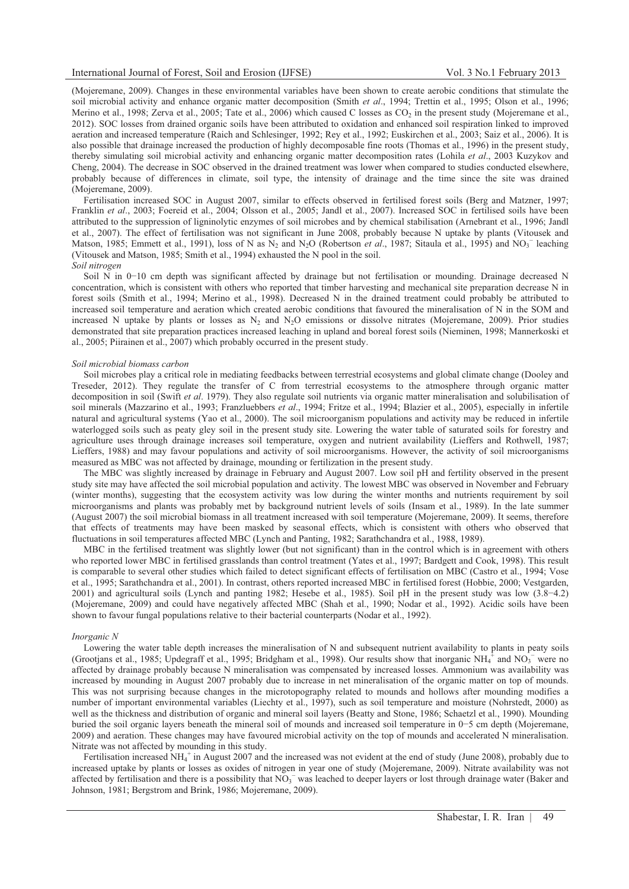(Mojeremane, 2009). Changes in these environmental variables have been shown to create aerobic conditions that stimulate the soil microbial activity and enhance organic matter decomposition (Smith *et al*., 1994; Trettin et al., 1995; Olson et al., 1996; Merino et al., 1998; Zerva et al., 2005; Tate et al., 2006) which caused C losses as CO<sub>2</sub> in the present study (Mojeremane et al., 2012). SOC losses from drained organic soils have been attributed to oxidation and enhanced soil respiration linked to improved aeration and increased temperature (Raich and Schlesinger, 1992; Rey et al., 1992; Euskirchen et al., 2003; Saiz et al., 2006). It is also possible that drainage increased the production of highly decomposable fine roots (Thomas et al., 1996) in the present study, thereby simulating soil microbial activity and enhancing organic matter decomposition rates (Lohila *et al*., 2003 Kuzykov and Cheng, 2004). The decrease in SOC observed in the drained treatment was lower when compared to studies conducted elsewhere, probably because of differences in climate, soil type, the intensity of drainage and the time since the site was drained (Mojeremane, 2009).

 Fertilisation increased SOC in August 2007, similar to effects observed in fertilised forest soils (Berg and Matzner, 1997; Franklin *et al*., 2003; Foereid et al., 2004; Olsson et al., 2005; Jandl et al., 2007). Increased SOC in fertilised soils have been attributed to the suppression of ligninolytic enzymes of soil microbes and by chemical stabilisation (Arnebrant et al., 1996; Jandl et al., 2007). The effect of fertilisation was not significant in June 2008, probably because N uptake by plants (Vitousek and Matson, 1985; Emmett et al., 1991), loss of N as  $N_2$  and  $N_2O$  (Robertson *et al.*, 1987; Sitaula et al., 1995) and  $NO_3^-$  leaching (Vitousek and Matson, 1985; Smith et al., 1994) exhausted the N pool in the soil.

## *Soil nitrogen*

 Soil N in 0-10 cm depth was significant affected by drainage but not fertilisation or mounding. Drainage decreased N concentration, which is consistent with others who reported that timber harvesting and mechanical site preparation decrease N in forest soils (Smith et al., 1994; Merino et al., 1998). Decreased N in the drained treatment could probably be attributed to increased soil temperature and aeration which created aerobic conditions that favoured the mineralisation of N in the SOM and increased N uptake by plants or losses as  $N_2$  and  $N_2O$  emissions or dissolve nitrates (Mojeremane, 2009). Prior studies demonstrated that site preparation practices increased leaching in upland and boreal forest soils (Nieminen, 1998; Mannerkoski et al., 2005; Piirainen et al., 2007) which probably occurred in the present study.

## *Soil microbial biomass carbon*

 Soil microbes play a critical role in mediating feedbacks between terrestrial ecosystems and global climate change (Dooley and Treseder, 2012). They regulate the transfer of C from terrestrial ecosystems to the atmosphere through organic matter decomposition in soil (Swift *et al*. 1979). They also regulate soil nutrients via organic matter mineralisation and solubilisation of soil minerals (Mazzarino et al., 1993; Franzluebbers *et al*., 1994; Fritze et al., 1994; Blazier et al., 2005), especially in infertile natural and agricultural systems (Yao et al., 2000). The soil microorganism populations and activity may be reduced in infertile waterlogged soils such as peaty gley soil in the present study site. Lowering the water table of saturated soils for forestry and agriculture uses through drainage increases soil temperature, oxygen and nutrient availability (Lieffers and Rothwell, 1987; Lieffers, 1988) and may favour populations and activity of soil microorganisms. However, the activity of soil microorganisms measured as MBC was not affected by drainage, mounding or fertilization in the present study.

 The MBC was slightly increased by drainage in February and August 2007. Low soil pH and fertility observed in the present study site may have affected the soil microbial population and activity. The lowest MBC was observed in November and February (winter months), suggesting that the ecosystem activity was low during the winter months and nutrients requirement by soil microorganisms and plants was probably met by background nutrient levels of soils (Insam et al., 1989). In the late summer (August 2007) the soil microbial biomass in all treatment increased with soil temperature (Mojeremane, 2009). It seems, therefore that effects of treatments may have been masked by seasonal effects, which is consistent with others who observed that fluctuations in soil temperatures affected MBC (Lynch and Panting, 1982; Sarathchandra et al., 1988, 1989).

 MBC in the fertilised treatment was slightly lower (but not significant) than in the control which is in agreement with others who reported lower MBC in fertilised grasslands than control treatment (Yates et al., 1997; Bardgett and Cook, 1998). This result is comparable to several other studies which failed to detect significant effects of fertilisation on MBC (Castro et al., 1994; Vose et al., 1995; Sarathchandra et al., 2001). In contrast, others reported increased MBC in fertilised forest (Hobbie, 2000; Vestgarden, 2001) and agricultural soils (Lynch and panting 1982; Hesebe et al., 1985). Soil pH in the present study was low (3.8-4.2) (Mojeremane, 2009) and could have negatively affected MBC (Shah et al., 1990; Nodar et al., 1992). Acidic soils have been shown to favour fungal populations relative to their bacterial counterparts (Nodar et al., 1992).

#### *Inorganic N*

 Lowering the water table depth increases the mineralisation of N and subsequent nutrient availability to plants in peaty soils (Grootjans et al., 1985; Updegraff et al., 1995; Bridgham et al., 1998). Our results show that inorganic  $NH_4^{\frac{1}{4}}$  and  $NO_3^{\frac{1}{4}}$  were no affected by drainage probably because N mineralisation was compensated by increased losses. Ammonium was availability was increased by mounding in August 2007 probably due to increase in net mineralisation of the organic matter on top of mounds. This was not surprising because changes in the microtopography related to mounds and hollows after mounding modifies a number of important environmental variables (Liechty et al., 1997), such as soil temperature and moisture (Nohrstedt, 2000) as well as the thickness and distribution of organic and mineral soil layers (Beatty and Stone, 1986; Schaetzl et al., 1990). Mounding buried the soil organic layers beneath the mineral soil of mounds and increased soil temperature in 0-5 cm depth (Mojeremane, 2009) and aeration. These changes may have favoured microbial activity on the top of mounds and accelerated N mineralisation. Nitrate was not affected by mounding in this study.

Fertilisation increased NH<sub>4</sub><sup>+</sup> in August 2007 and the increased was not evident at the end of study (June 2008), probably due to increased uptake by plants or losses as oxides of nitrogen in year one of study (Mojeremane, 2009). Nitrate availability was not affected by fertilisation and there is a possibility that  $NO<sub>3</sub><sup>-</sup>$  was leached to deeper layers or lost through drainage water (Baker and Johnson, 1981; Bergstrom and Brink, 1986; Mojeremane, 2009).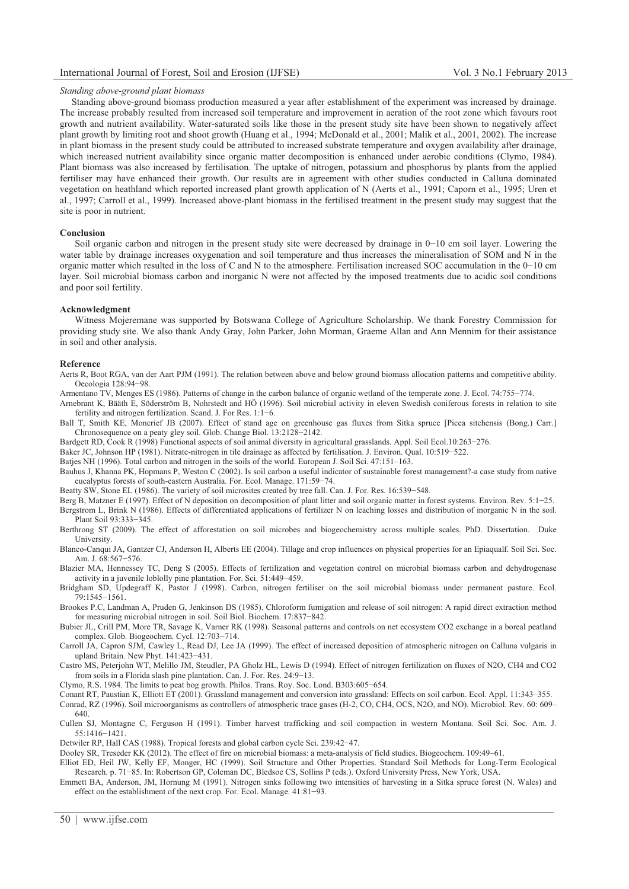## *Standing above-ground plant biomass*

 Standing above-ground biomass production measured a year after establishment of the experiment was increased by drainage. The increase probably resulted from increased soil temperature and improvement in aeration of the root zone which favours root growth and nutrient availability. Water-saturated soils like those in the present study site have been shown to negatively affect plant growth by limiting root and shoot growth (Huang et al., 1994; McDonald et al., 2001; Malik et al., 2001, 2002). The increase in plant biomass in the present study could be attributed to increased substrate temperature and oxygen availability after drainage, which increased nutrient availability since organic matter decomposition is enhanced under aerobic conditions (Clymo, 1984). Plant biomass was also increased by fertilisation. The uptake of nitrogen, potassium and phosphorus by plants from the applied fertiliser may have enhanced their growth. Our results are in agreement with other studies conducted in Calluna dominated vegetation on heathland which reported increased plant growth application of N (Aerts et al., 1991; Caporn et al., 1995; Uren et al., 1997; Carroll et al., 1999). Increased above-plant biomass in the fertilised treatment in the present study may suggest that the site is poor in nutrient.

#### **Conclusion**

Soil organic carbon and nitrogen in the present study site were decreased by drainage in 0-10 cm soil layer. Lowering the water table by drainage increases oxygenation and soil temperature and thus increases the mineralisation of SOM and N in the organic matter which resulted in the loss of C and N to the atmosphere. Fertilisation increased SOC accumulation in the 0-10 cm layer. Soil microbial biomass carbon and inorganic N were not affected by the imposed treatments due to acidic soil conditions and poor soil fertility.

#### **Acknowledgment**

Witness Mojeremane was supported by Botswana College of Agriculture Scholarship. We thank Forestry Commission for providing study site. We also thank Andy Gray, John Parker, John Morman, Graeme Allan and Ann Mennim for their assistance in soil and other analysis.

#### **Reference**

Aerts R, Boot RGA, van der Aart PJM (1991). The relation between above and below ground biomass allocation patterns and competitive ability. Oecologia 128:94-98.

Armentano TV, Menges ES (1986). Patterns of change in the carbon balance of organic wetland of the temperate zone. J. Ecol. 74:755-774.

Arnebrant K, Bääth E, Söderström B, Nohrstedt and HÖ (1996). Soil microbial activity in eleven Swedish coniferous forests in relation to site fertility and nitrogen fertilization. Scand. J. For Res. 1:1-6.

Ball T, Smith KE, Moncrief JB (2007). Effect of stand age on greenhouse gas fluxes from Sitka spruce [Picea sitchensis (Bong.) Carr.] Chronosequence on a peaty gley soil. Glob. Change Biol. 13:2128-2142.

Bardgett RD, Cook R (1998) Functional aspects of soil animal diversity in agricultural grasslands. Appl. Soil Ecol.10:263-276.

- Baker JC, Johnson HP (1981). Nitrate-nitrogen in tile drainage as affected by fertilisation. J. Environ. Qual. 10:519-522.
- Batjes NH (1996). Total carbon and nitrogen in the soils of the world. European J. Soil Sci. 47:151–163.

Bauhus J, Khanna PK, Hopmans P, Weston C (2002). Is soil carbon a useful indicator of sustainable forest management?-a case study from native eucalyptus forests of south-eastern Australia. For. Ecol. Manage. 171:59-74.

Beatty SW, Stone EL (1986). The variety of soil microsites created by tree fall. Can. J. For. Res. 16:539-548.

Berg B, Matzner E (1997). Effect of N deposition on decomposition of plant litter and soil organic matter in forest systems. Environ. Rev. 5:1-25. Bergstrom L, Brink N (1986). Effects of differentiated applications of fertilizer N on leaching losses and distribution of inorganic N in the soil. Plant Soil 93:333-345.

Berthrong ST (2009). The effect of afforestation on soil microbes and biogeochemistry across multiple scales. PhD. Dissertation. Duke University.

Blanco-Canqui JA, Gantzer CJ, Anderson H, Alberts EE (2004). Tillage and crop influences on physical properties for an Epiaqualf. Soil Sci. Soc. Am. J. 68:567-576.

Blazier MA, Hennessey TC, Deng S (2005). Effects of fertilization and vegetation control on microbial biomass carbon and dehydrogenase activity in a juvenile loblolly pine plantation. For. Sci. 51:449-459.

Bridgham SD, Updegraff K, Pastor J (1998). Carbon, nitrogen fertiliser on the soil microbial biomass under permanent pasture. Ecol. 79:1545-1561.

Brookes P.C, Landman A, Pruden G, Jenkinson DS (1985). Chloroform fumigation and release of soil nitrogen: A rapid direct extraction method for measuring microbial nitrogen in soil. Soil Biol. Biochem. 17:837-842.

Bubier JL, Crill PM, More TR, Savage K, Varner RK (1998). Seasonal patterns and controls on net ecosystem CO2 exchange in a boreal peatland complex. Glob. Biogeochem. Cycl. 12:703-714.

Carroll JA, Capron SJM, Cawley L, Read DJ, Lee JA (1999). The effect of increased deposition of atmospheric nitrogen on Calluna vulgaris in upland Britain. New Phyt. 141:423-431.

Castro MS, Peterjohn WT, Melillo JM, Steudler, PA Gholz HL, Lewis D (1994). Effect of nitrogen fertilization on fluxes of N2O, CH4 and CO2 from soils in a Florida slash pine plantation. Can. J. For. Res. 24:9-13.

Clymo, R.S. 1984. The limits to peat bog growth. Philos. Trans. Roy. Soc. Lond. B303:605-654.

Conant RT, Paustian K, Elliott ET (2001). Grassland management and conversion into grassland: Effects on soil carbon. Ecol. Appl. 11:343–355.

Conrad, RZ (1996). Soil microorganisms as controllers of atmospheric trace gases (H-2, CO, CH4, OCS, N2O, and NO). Microbiol. Rev. 60: 609– 640.

Cullen SJ, Montagne C, Ferguson H (1991). Timber harvest trafficking and soil compaction in western Montana. Soil Sci. Soc. Am. J. 55:1416-1421.

Detwiler RP, Hall CAS (1988). Tropical forests and global carbon cycle Sci. 239:42-47.

Dooley SR, Treseder KK (2012). The effect of fire on microbial biomass: a meta-analysis of field studies. Biogeochem. 109:49–61.

Elliot ED, Heil JW, Kelly EF, Monger, HC (1999). Soil Structure and Other Properties. Standard Soil Methods for Long-Term Ecological Research. p. 71-85. In: Robertson GP, Coleman DC, Bledsoe CS, Sollins P (eds.). Oxford University Press, New York, USA.

Emmett BA, Anderson, JM, Hornung M (1991). Nitrogen sinks following two intensities of harvesting in a Sitka spruce forest (N. Wales) and effect on the establishment of the next crop. For. Ecol. Manage. 41:81-93.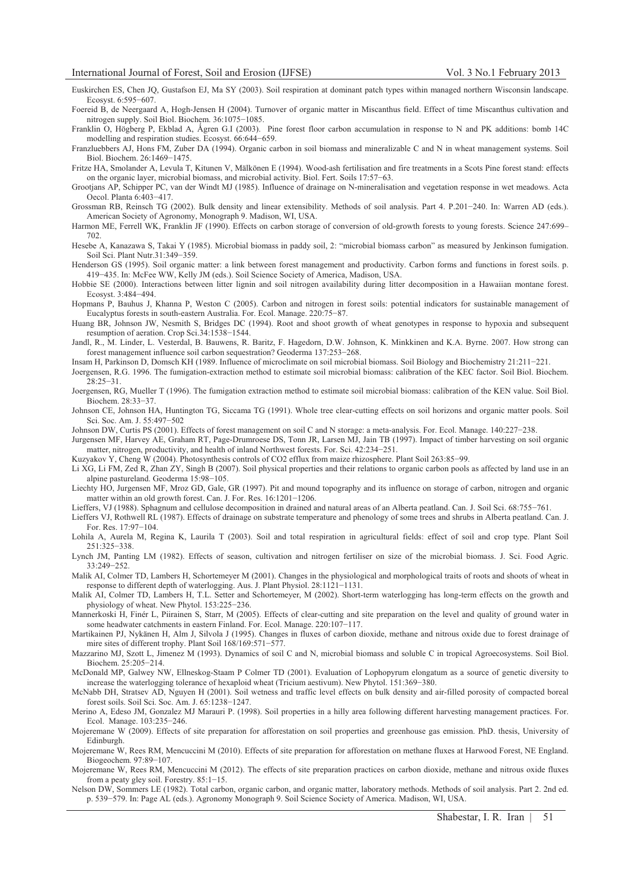Euskirchen ES, Chen JQ, Gustafson EJ, Ma SY (2003). Soil respiration at dominant patch types within managed northern Wisconsin landscape. Ecosyst. 6:595-607.

Foereid B, de Neergaard A, Hogh-Jensen H (2004). Turnover of organic matter in Miscanthus field. Effect of time Miscanthus cultivation and nitrogen supply. Soil Biol. Biochem. 36:1075-1085.

Franklin O, Högberg P, Ekblad A, Ågren G.I (2003). Pine forest floor carbon accumulation in response to N and PK additions: bomb 14C modelling and respiration studies. Ecosyst. 66:644-659.

Franzluebbers AJ, Hons FM, Zuber DA (1994). Organic carbon in soil biomass and mineralizable C and N in wheat management systems. Soil Biol. Biochem. 26:1469-1475.

Fritze HA, Smolander A, Levula T, Kitunen V, Mälkönen E (1994). Wood-ash fertilisation and fire treatments in a Scots Pine forest stand: effects on the organic layer, microbial biomass, and microbial activity. Biol. Fert. Soils 17:57-63.

Grootjans AP, Schipper PC, van der Windt MJ (1985). Influence of drainage on N-mineralisation and vegetation response in wet meadows. Acta Oecol. Planta 6:403-417.

Grossman RB, Reinsch TG (2002). Bulk density and linear extensibility. Methods of soil analysis. Part 4. P.201-240. In: Warren AD (eds.). American Society of Agronomy, Monograph 9. Madison, WI, USA.

Harmon ME, Ferrell WK, Franklin JF (1990). Effects on carbon storage of conversion of old-growth forests to young forests. Science 247:699– 702.

Hesebe A, Kanazawa S, Takai Y (1985). Microbial biomass in paddy soil, 2: "microbial biomass carbon" as measured by Jenkinson fumigation. Soil Sci. Plant Nutr.31:349-359.

Henderson GS (1995). Soil organic matter: a link between forest management and productivity. Carbon forms and functions in forest soils. p. 419-435. In: McFee WW, Kelly JM (eds.). Soil Science Society of America, Madison, USA.

Hobbie SE (2000). Interactions between litter lignin and soil nitrogen availability during litter decomposition in a Hawaiian montane forest. Ecosyst. 3:484-494.

Hopmans P, Bauhus J, Khanna P, Weston C (2005). Carbon and nitrogen in forest soils: potential indicators for sustainable management of Eucalyptus forests in south-eastern Australia. For. Ecol. Manage. 220:75-87.

Huang BR, Johnson JW, Nesmith S, Bridges DC (1994). Root and shoot growth of wheat genotypes in response to hypoxia and subsequent resumption of aeration. Crop Sci.34:1538-1544.

Jandl, R., M. Linder, L. Vesterdal, B. Bauwens, R. Baritz, F. Hagedorn, D.W. Johnson, K. Minkkinen and K.A. Byrne. 2007. How strong can forest management influence soil carbon sequestration? Geoderma 137:253-268.

Insam H, Parkinson D, Domsch KH (1989. Influence of microclimate on soil microbial biomass. Soil Biology and Biochemistry 21:211-221.

Joergensen, R.G. 1996. The fumigation-extraction method to estimate soil microbial biomass: calibration of the KEC factor. Soil Biol. Biochem. 28:25-31.

Joergensen, RG, Mueller T (1996). The fumigation extraction method to estimate soil microbial biomass: calibration of the KEN value. Soil Biol. Biochem. 28:33-37.

Johnson CE, Johnson HA, Huntington TG, Siccama TG (1991). Whole tree clear-cutting effects on soil horizons and organic matter pools. Soil Sci. Soc. Am. J. 55:497-502

Johnson DW, Curtis PS (2001). Effects of forest management on soil C and N storage: a meta-analysis. For. Ecol. Manage. 140:227-238.

Jurgensen MF, Harvey AE, Graham RT, Page-Drumroese DS, Tonn JR, Larsen MJ, Jain TB (1997). Impact of timber harvesting on soil organic matter, nitrogen, productivity, and health of inland Northwest forests. For. Sci. 42:234-251.

Kuzyakov Y, Cheng W (2004). Photosynthesis controls of CO2 efflux from maize rhizosphere. Plant Soil 263:85-99.

Li XG, Li FM, Zed R, Zhan ZY, Singh B (2007). Soil physical properties and their relations to organic carbon pools as affected by land use in an alpine pastureland. Geoderma 15:98-105.

Liechty HO, Jurgensen MF, Mroz GD, Gale, GR (1997). Pit and mound topography and its influence on storage of carbon, nitrogen and organic matter within an old growth forest. Can. J. For. Res. 16:1201-1206.

Lieffers, VJ (1988). Sphagnum and cellulose decomposition in drained and natural areas of an Alberta peatland. Can. J. Soil Sci. 68:755-761.

Lieffers VJ, Rothwell RL (1987). Effects of drainage on substrate temperature and phenology of some trees and shrubs in Alberta peatland. Can. J. For. Res. 17:97-104.

Lohila A, Aurela M, Regina K, Laurila T (2003). Soil and total respiration in agricultural fields: effect of soil and crop type. Plant Soil 251:325-338.

Lynch JM, Panting LM (1982). Effects of season, cultivation and nitrogen fertiliser on size of the microbial biomass. J. Sci. Food Agric. 33:249-252.

Malik AI, Colmer TD, Lambers H, Schortemeyer M (2001). Changes in the physiological and morphological traits of roots and shoots of wheat in response to different depth of waterlogging. Aus. J. Plant Physiol. 28:1121-1131.

Malik AI, Colmer TD, Lambers H, T.L. Setter and Schortemeyer, M (2002). Short-term waterlogging has long-term effects on the growth and physiology of wheat. New Phytol. 153:225-236.

Mannerkoski H, Finér L, Piirainen S, Starr, M (2005). Effects of clear-cutting and site preparation on the level and quality of ground water in some headwater catchments in eastern Finland. For. Ecol. Manage. 220:107-117.

Martikainen PJ, Nykänen H, Alm J, Silvola J (1995). Changes in fluxes of carbon dioxide, methane and nitrous oxide due to forest drainage of mire sites of different trophy. Plant Soil 168/169:571-577.

Mazzarino MJ, Szott L, Jimenez M (1993). Dynamics of soil C and N, microbial biomass and soluble C in tropical Agroecosystems. Soil Biol. Biochem. 25:205-214.

McDonald MP, Galwey NW, Ellneskog-Staam P Colmer TD (2001). Evaluation of Lophopyrum elongatum as a source of genetic diversity to increase the waterlogging tolerance of hexaploid wheat (Tricium aestivum). New Phytol. 151:369-380.

McNabb DH, Stratsev AD, Nguyen H (2001). Soil wetness and traffic level effects on bulk density and air-filled porosity of compacted boreal forest soils. Soil Sci. Soc. Am. J. 65:1238-1247.

Merino A, Edeso JM, Gonzalez MJ Marauri P. (1998). Soil properties in a hilly area following different harvesting management practices. For. Ecol. Manage. 103:235-246.

Mojeremane W (2009). Effects of site preparation for afforestation on soil properties and greenhouse gas emission. PhD. thesis, University of Edinburgh.

Mojeremane W, Rees RM, Mencuccini M (2010). Effects of site preparation for afforestation on methane fluxes at Harwood Forest, NE England. Biogeochem. 97:89-107.

Mojeremane W, Rees RM, Mencuccini M (2012). The effects of site preparation practices on carbon dioxide, methane and nitrous oxide fluxes from a peaty gley soil. Forestry. 85:1-15.

Nelson DW, Sommers LE (1982). Total carbon, organic carbon, and organic matter, laboratory methods. Methods of soil analysis. Part 2. 2nd ed. p. 539-579. In: Page AL (eds.). Agronomy Monograph 9. Soil Science Society of America. Madison, WI, USA.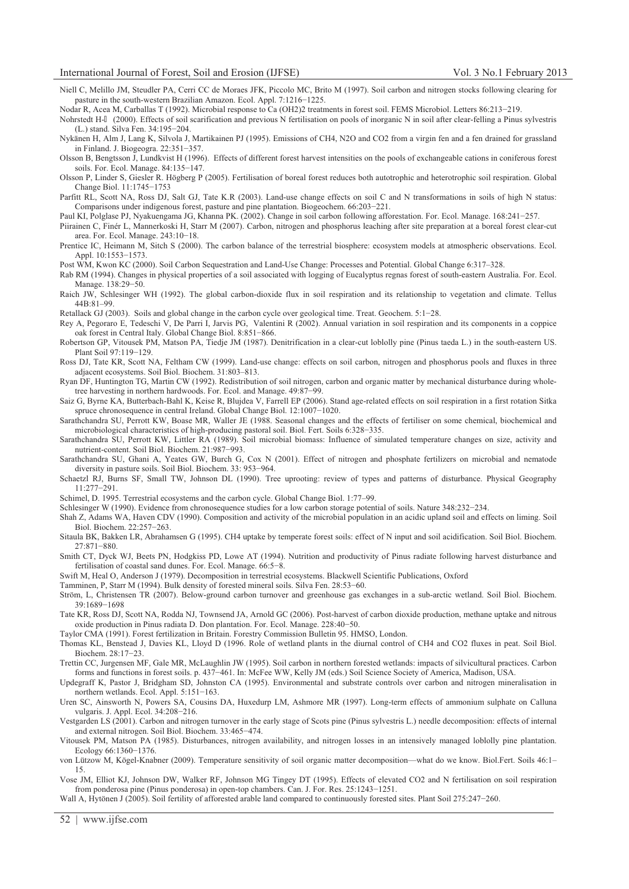Niell C, Melillo JM, Steudler PA, Cerri CC de Moraes JFK, Piccolo MC, Brito M (1997). Soil carbon and nitrogen stocks following clearing for pasture in the south-western Brazilian Amazon. Ecol. Appl. 7:1216-1225.

Nodar R, Acea M, Carballas T (1992). Microbial response to Ca (OH2)2 treatments in forest soil. FEMS Microbiol. Letters 86:213-219.

Nohrstedt H- (2000). Effects of soil scarification and previous N fertilisation on pools of inorganic N in soil after clear-felling a Pinus sylvestris (L.) stand. Silva Fen. 34:195-204.

Nykänen H, Alm J, Lang K, Silvola J, Martikainen PJ (1995). Emissions of CH4, N2O and CO2 from a virgin fen and a fen drained for grassland in Finland. J. Biogeogra. 22:351-357.

Olsson B, Bengtsson J, Lundkvist H (1996). Effects of different forest harvest intensities on the pools of exchangeable cations in coniferous forest soils. For. Ecol. Manage. 84:135-147.

Olsson P, Linder S, Giesler R. Högberg P (2005). Fertilisation of boreal forest reduces both autotrophic and heterotrophic soil respiration. Global Change Biol. 11:1745-1753

Parfitt RL, Scott NA, Ross DJ, Salt GJ, Tate K.R (2003). Land-use change effects on soil C and N transformations in soils of high N status: Comparisons under indigenous forest, pasture and pine plantation. Biogeochem. 66:203-221.

Paul KI, Polglase PJ, Nyakuengama JG, Khanna PK. (2002). Change in soil carbon following afforestation. For. Ecol. Manage. 168:241-257.

- Piirainen C, Finér L, Mannerkoski H, Starr M (2007). Carbon, nitrogen and phosphorus leaching after site preparation at a boreal forest clear-cut area. For. Ecol. Manage. 243:10-18.
- Prentice IC, Heimann M, Sitch S (2000). The carbon balance of the terrestrial biosphere: ecosystem models at atmospheric observations. Ecol. Appl. 10:1553-1573.

Post WM, Kwon KC (2000). Soil Carbon Sequestration and Land-Use Change: Processes and Potential. Global Change 6:317–328.

Rab RM (1994). Changes in physical properties of a soil associated with logging of Eucalyptus regnas forest of south-eastern Australia. For. Ecol. Manage. 138:29-50.

Raich JW, Schlesinger WH (1992). The global carbon-dioxide flux in soil respiration and its relationship to vegetation and climate. Tellus 44B:81–99.

Retallack GJ (2003). Soils and global change in the carbon cycle over geological time. Treat. Geochem. 5:1-28.

Rey A, Pegoraro E, Tedeschi V, De Parri I, Jarvis PG, Valentini R (2002). Annual variation in soil respiration and its components in a coppice oak forest in Central Italy. Global Change Biol. 8:851-866.

- Robertson GP, Vitousek PM, Matson PA, Tiedje JM (1987). Denitrification in a clear-cut loblolly pine (Pinus taeda L.) in the south-eastern US. Plant Soil 97:119-129.
- Ross DJ, Tate KR, Scott NA, Feltham CW (1999). Land-use change: effects on soil carbon, nitrogen and phosphorus pools and fluxes in three adjacent ecosystems. Soil Biol. Biochem. 31:803–813.

Ryan DF, Huntington TG, Martin CW (1992). Redistribution of soil nitrogen, carbon and organic matter by mechanical disturbance during wholetree harvesting in northern hardwoods. For. Ecol. and Manage. 49:87-99.

Saiz G, Byrne KA, Butterbach-Bahl K, Keise R, Blujdea V, Farrell EP (2006). Stand age-related effects on soil respiration in a first rotation Sitka spruce chronosequence in central Ireland. Global Change Biol. 12:1007-1020.

Sarathchandra SU, Perrott KW, Boase MR, Waller JE (1988. Seasonal changes and the effects of fertiliser on some chemical, biochemical and microbiological characteristics of high-producing pastoral soil. Biol. Fert. Soils 6:328-335.

Sarathchandra SU, Perrott KW, Littler RA (1989). Soil microbial biomass: Influence of simulated temperature changes on size, activity and nutrient-content. Soil Biol. Biochem. 21:987-993.

Sarathchandra SU, Ghani A, Yeates GW, Burch G, Cox N (2001). Effect of nitrogen and phosphate fertilizers on microbial and nematode diversity in pasture soils. Soil Biol. Biochem. 33: 953-964.

Schaetzl RJ, Burns SF, Small TW, Johnson DL (1990). Tree uprooting: review of types and patterns of disturbance. Physical Geography 11:277-291.

Schimel, D. 1995. Terrestrial ecosystems and the carbon cycle. Global Change Biol. 1:77–99.

Schlesinger W (1990). Evidence from chronosequence studies for a low carbon storage potential of soils. Nature 348:232-234.

Shah Z, Adams WA, Haven CDV (1990). Composition and activity of the microbial population in an acidic upland soil and effects on liming. Soil Biol. Biochem. 22:257-263.

Sitaula BK, Bakken LR, Abrahamsen G (1995). CH4 uptake by temperate forest soils: effect of N input and soil acidification. Soil Biol. Biochem. 27:871-880.

Smith CT, Dyck WJ, Beets PN, Hodgkiss PD, Lowe AT (1994). Nutrition and productivity of Pinus radiate following harvest disturbance and fertilisation of coastal sand dunes. For. Ecol. Manage. 66:5-8.

Swift M, Heal O, Anderson J (1979). Decomposition in terrestrial ecosystems. Blackwell Scientific Publications, Oxford

Tamminen, P, Starr M (1994). Bulk density of forested mineral soils. Silva Fen. 28:53-60.

Ström, L, Christensen TR (2007). Below-ground carbon turnover and greenhouse gas exchanges in a sub-arctic wetland. Soil Biol. Biochem. 39:1689-1698

Tate KR, Ross DJ, Scott NA, Rodda NJ, Townsend JA, Arnold GC (2006). Post-harvest of carbon dioxide production, methane uptake and nitrous oxide production in Pinus radiata D. Don plantation. For. Ecol. Manage. 228:40-50.

Taylor CMA (1991). Forest fertilization in Britain. Forestry Commission Bulletin 95. HMSO, London.

Thomas KL, Benstead J, Davies KL, Lloyd D (1996. Role of wetland plants in the diurnal control of CH4 and CO2 fluxes in peat. Soil Biol. Biochem. 28:17-23.

Trettin CC, Jurgensen MF, Gale MR, McLaughlin JW (1995). Soil carbon in northern forested wetlands: impacts of silvicultural practices. Carbon forms and functions in forest soils. p. 437-461. In: McFee WW, Kelly JM (eds.) Soil Science Society of America, Madison, USA.

Updegraff K, Pastor J, Bridgham SD, Johnston CA (1995). Environmental and substrate controls over carbon and nitrogen mineralisation in northern wetlands. Ecol. Appl. 5:151-163.

Uren SC, Ainsworth N, Powers SA, Cousins DA, Huxedurp LM, Ashmore MR (1997). Long-term effects of ammonium sulphate on Calluna vulgaris. J. Appl. Ecol. 34:208-216.

Vestgarden LS (2001). Carbon and nitrogen turnover in the early stage of Scots pine (Pinus sylvestris L.) needle decomposition: effects of internal and external nitrogen. Soil Biol. Biochem. 33:465-474.

Vitousek PM, Matson PA (1985). Disturbances, nitrogen availability, and nitrogen losses in an intensively managed loblolly pine plantation. Ecology 66:1360-1376.

von Lützow M, Kögel-Knabner (2009). Temperature sensitivity of soil organic matter decomposition—what do we know. Biol.Fert. Soils 46:1– 15.

Vose JM, Elliot KJ, Johnson DW, Walker RF, Johnson MG Tingey DT (1995). Effects of elevated CO2 and N fertilisation on soil respiration from ponderosa pine (Pinus ponderosa) in open-top chambers. Can. J. For. Res. 25:1243-1251.

Wall A, Hytönen J (2005). Soil fertility of afforested arable land compared to continuously forested sites. Plant Soil 275:247-260.